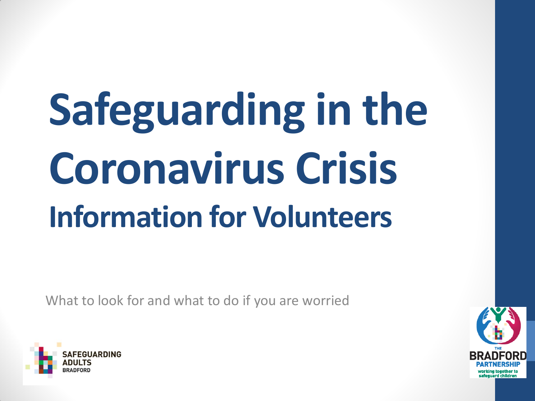# **Safeguarding in the Coronavirus Crisis Information for Volunteers**

What to look for and what to do if you are worried



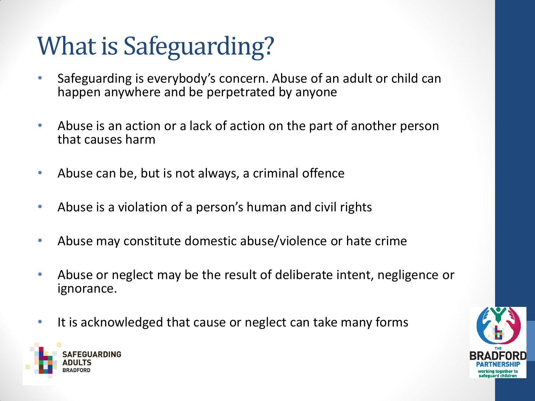### What is Safeguarding?

- Safeguarding is everybody's concern. Abuse of an adult or child can happen anywhere and be perpetrated by anyone
- Abuse is an action or a lack of action on the part of another person that causes harm
- Abuse can be, but is not always, a criminal offence
- Abuse is a violation of a person's human and civil rights
- Abuse may constitute domestic abuse/violence or hate crime
- Abuse or neglect may be the result of deliberate intent, negligence or ignorance.
- It is acknowledged that cause or neglect can take many forms



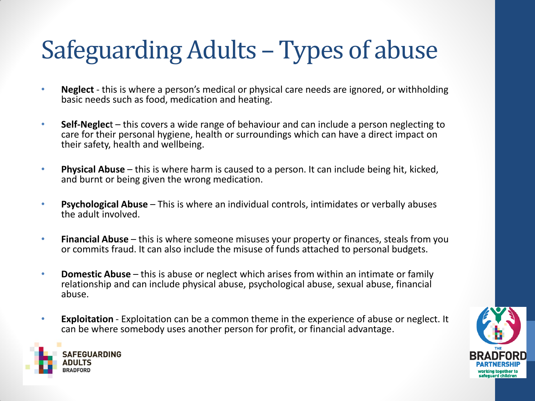### Safeguarding Adults – Types of abuse

- **Neglect** this is where a person's medical or physical care needs are ignored, or withholding basic needs such as food, medication and heating.
- **Self-Neglec**t this covers a wide range of behaviour and can include a person neglecting to care for their personal hygiene, health or surroundings which can have a direct impact on their safety, health and wellbeing.
- **Physical Abuse**  this is where harm is caused to a person. It can include being hit, kicked, and burnt or being given the wrong medication.
- **Psychological Abuse**  This is where an individual controls, intimidates or verbally abuses the adult involved.
- **Financial Abuse**  this is where someone misuses your property or finances, steals from you or commits fraud. It can also include the misuse of funds attached to personal budgets.
- **Domestic Abuse** this is abuse or neglect which arises from within an intimate or family relationship and can include physical abuse, psychological abuse, sexual abuse, financial abuse.
- **Exploitation** Exploitation can be a common theme in the experience of abuse or neglect. It can be where somebody uses another person for profit, or financial advantage.



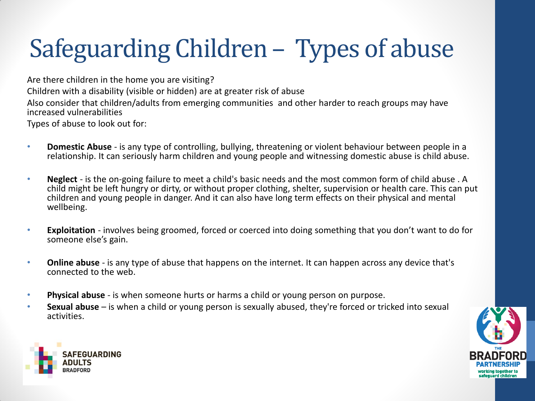### Safeguarding Children – Types of abuse

Are there children in the home you are visiting? Children with a disability (visible or hidden) are at greater risk of abuse Also consider that children/adults from emerging communities and other harder to reach groups may have increased vulnerabilities

Types of abuse to look out for:

- **Domestic Abuse**  is any type of controlling, bullying, threatening or violent behaviour between people in a relationship. It can seriously harm children and young people and witnessing domestic abuse is child abuse.
- **Neglect** is the on-going failure to meet a child's basic needs and the most common form of child abuse . A child might be left hungry or dirty, or without proper clothing, shelter, supervision or health care. This can put children and young people in danger. And it can also have long term effects on their physical and mental wellbeing.
- **Exploitation** involves being groomed, forced or coerced into doing something that you don't want to do for someone else's gain.
- **Online abuse**  is any type of abuse that happens on the internet. It can happen across any device that's connected to the web.
- **Physical abuse**  is when someone hurts or harms a child or young person on purpose.
- **Sexual abuse**  is when a child or young person is sexually abused, they're forced or tricked into sexual activities.



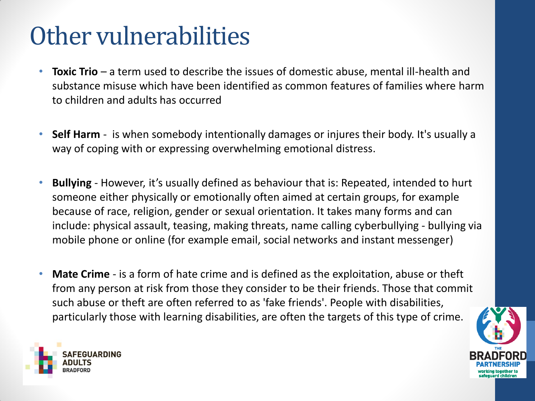### Other vulnerabilities

- **Toxic Trio**  a term used to describe the issues of domestic abuse, mental ill-health and substance misuse which have been identified as common features of families where harm to children and adults has occurred
- **Self Harm**  is when somebody intentionally damages or injures their body. It's usually a way of coping with or expressing overwhelming emotional distress.
- **Bullying** However, it's usually defined as behaviour that is: Repeated, intended to hurt someone either physically or emotionally often aimed at certain groups, for example because of race, religion, gender or sexual orientation. It takes many forms and can include: physical assault, teasing, making threats, name calling cyberbullying - bullying via mobile phone or online (for example email, social networks and instant messenger)
- **Mate Crime**  is a form of hate crime and is defined as the exploitation, abuse or theft from any person at risk from those they consider to be their friends. Those that commit such abuse or theft are often referred to as 'fake friends'. People with disabilities, particularly those with learning disabilities, are often the targets of this type of crime.



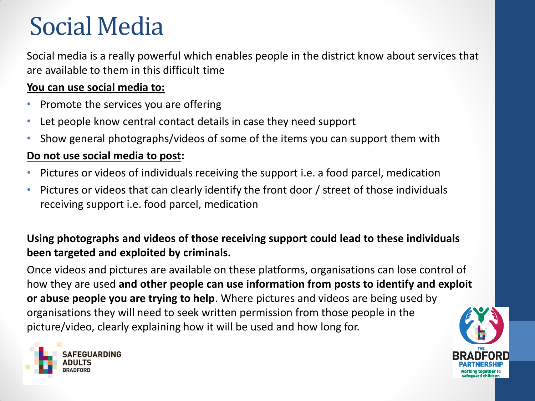### Social Media

Social media is a really powerful which enables people in the district know about services that are available to them in this difficult time

#### **You can use social media to:**

- Promote the services you are offering
- Let people know central contact details in case they need support
- Show general photographs/videos of some of the items you can support them with

#### **Do not use social media to post:**

- Pictures or videos of individuals receiving the support i.e. a food parcel, medication
- Pictures or videos that can clearly identify the front door / street of those individuals receiving support i.e. food parcel, medication

### **Using photographs and videos of those receiving support could lead to these individuals been targeted and exploited by criminals.**

Once videos and pictures are available on these platforms, organisations can lose control of how they are used **and other people can use information from posts to identify and exploit or abuse people you are trying to help**. Where pictures and videos are being used by organisations they will need to seek written permission from those people in the picture/video, clearly explaining how it will be used and how long for.



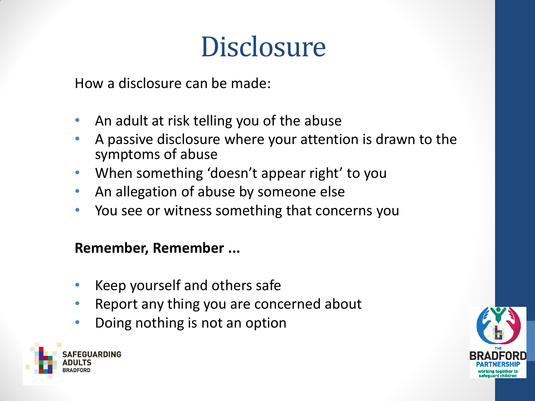### **Disclosure**

How a disclosure can be made:

- An adult at risk telling you of the abuse
- A passive disclosure where your attention is drawn to the symptoms of abuse
- When something 'doesn't appear right' to you
- An allegation of abuse by someone else
- You see or witness something that concerns you

### **Remember, Remember ...**

- Keep yourself and others safe
- Report any thing you are concerned about
- Doing nothing is not an option



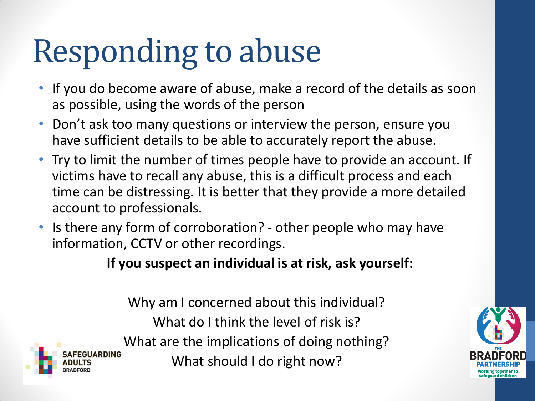# Responding to abuse

- If you do become aware of abuse, make a record of the details as soon as possible, using the words of the person
- Don't ask too many questions or interview the person, ensure you have sufficient details to be able to accurately report the abuse.
- Try to limit the number of times people have to provide an account. If victims have to recall any abuse, this is a difficult process and each time can be distressing. It is better that they provide a more detailed account to professionals.
- Is there any form of corroboration? other people who may have information, CCTV or other recordings.

**If you suspect an individual is at risk, ask yourself:**

Why am I concerned about this individual? What do I think the level of risk is? What are the implications of doing nothing? What should I do right now?